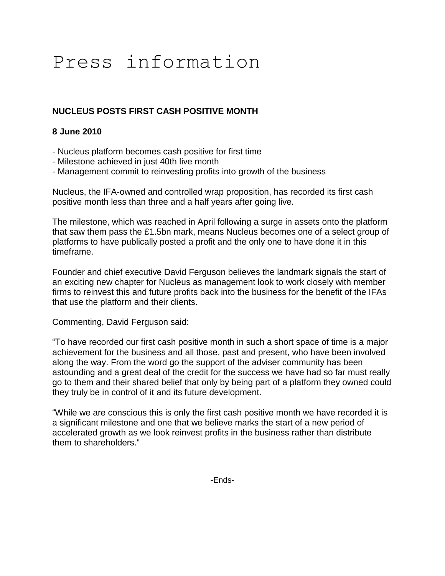# Press information

## **NUCLEUS POSTS FIRST CASH POSITIVE MONTH**

### **8 June 2010**

- Nucleus platform becomes cash positive for first time
- Milestone achieved in just 40th live month
- Management commit to reinvesting profits into growth of the business

Nucleus, the IFA-owned and controlled wrap proposition, has recorded its first cash positive month less than three and a half years after going live.

The milestone, which was reached in April following a surge in assets onto the platform that saw them pass the £1.5bn mark, means Nucleus becomes one of a select group of platforms to have publically posted a profit and the only one to have done it in this timeframe.

Founder and chief executive David Ferguson believes the landmark signals the start of an exciting new chapter for Nucleus as management look to work closely with member firms to reinvest this and future profits back into the business for the benefit of the IFAs that use the platform and their clients.

Commenting, David Ferguson said:

"To have recorded our first cash positive month in such a short space of time is a major achievement for the business and all those, past and present, who have been involved along the way. From the word go the support of the adviser community has been astounding and a great deal of the credit for the success we have had so far must really go to them and their shared belief that only by being part of a platform they owned could they truly be in control of it and its future development.

"While we are conscious this is only the first cash positive month we have recorded it is a significant milestone and one that we believe marks the start of a new period of accelerated growth as we look reinvest profits in the business rather than distribute them to shareholders."

-Ends-